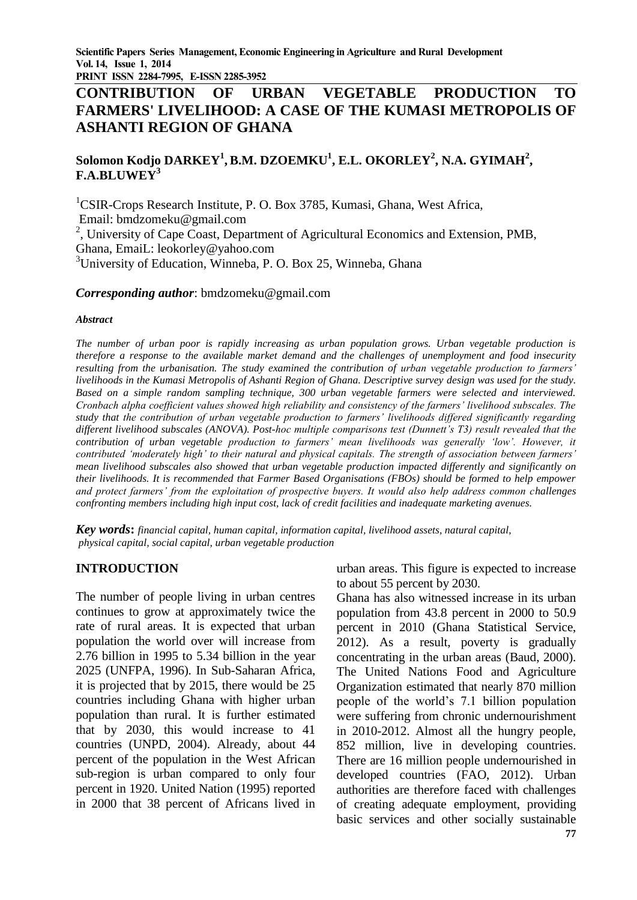**PRINT ISSN 2284-7995, E-ISSN 2285-3952** 

# **CONTRIBUTION OF URBAN VEGETABLE PRODUCTION TO FARMERS' LIVELIHOOD: A CASE OF THE KUMASI METROPOLIS OF ASHANTI REGION OF GHANA**

## **Solomon Kodjo DARKEY<sup>1</sup> , B.M. DZOEMKU<sup>1</sup> , E.L. OKORLEY<sup>2</sup> , N.A. GYIMAH<sup>2</sup> , F.A.BLUWEY<sup>3</sup>**

<sup>1</sup>CSIR-Crops Research Institute, P. O. Box 3785, Kumasi, Ghana, West Africa, Email: bmdzomeku@gmail.com

<sup>2</sup>, University of Cape Coast, Department of Agricultural Economics and Extension, PMB, Ghana, EmaiL: leokorley@yahoo.com

 $3$ University of Education, Winneba, P. O. Box 25, Winneba, Ghana

#### *Corresponding author*: bmdzomeku@gmail.com

#### *Abstract*

*The number of urban poor is rapidly increasing as urban population grows. Urban vegetable production is therefore a response to the available market demand and the challenges of unemployment and food insecurity resulting from the urbanisation. The study examined the contribution of urban vegetable production to farmers' livelihoods in the Kumasi Metropolis of Ashanti Region of Ghana. Descriptive survey design was used for the study. Based on a simple random sampling technique, 300 urban vegetable farmers were selected and interviewed. Cronbach alpha coefficient values showed high reliability and consistency of the farmers' livelihood subscales. The study that the contribution of urban vegetable production to farmers' livelihoods differed significantly regarding different livelihood subscales (ANOVA). Post-hoc multiple comparisons test (Dunnett's T3) result revealed that the contribution of urban vegetable production to farmers' mean livelihoods was generally 'low'. However, it contributed 'moderately high' to their natural and physical capitals. The strength of association between farmers' mean livelihood subscales also showed that urban vegetable production impacted differently and significantly on their livelihoods. It is recommended that Farmer Based Organisations (FBOs) should be formed to help empower and protect farmers' from the exploitation of prospective buyers. It would also help address common challenges confronting members including high input cost, lack of credit facilities and inadequate marketing avenues.* 

*Key words***:** *financial capital, human capital, information capital, livelihood assets, natural capital, physical capital, social capital, urban vegetable production*

### **INTRODUCTION**

The number of people living in urban centres continues to grow at approximately twice the rate of rural areas. It is expected that urban population the world over will increase from 2.76 billion in 1995 to 5.34 billion in the year 2025 (UNFPA, 1996). In Sub-Saharan Africa, it is projected that by 2015, there would be 25 countries including Ghana with higher urban population than rural. It is further estimated that by 2030, this would increase to 41 countries (UNPD, 2004). Already, about 44 percent of the population in the West African sub-region is urban compared to only four percent in 1920. United Nation (1995) reported in 2000 that 38 percent of Africans lived in urban areas. This figure is expected to increase to about 55 percent by 2030.

Ghana has also witnessed increase in its urban population from 43.8 percent in 2000 to 50.9 percent in 2010 (Ghana Statistical Service, 2012). As a result, poverty is gradually concentrating in the urban areas (Baud, 2000). The United Nations Food and Agriculture Organization estimated that nearly 870 million people of the world's 7.1 billion population were suffering from chronic undernourishment in 2010-2012. Almost all the hungry people, 852 million, live in developing countries. There are 16 million people undernourished in developed countries (FAO, 2012). Urban authorities are therefore faced with challenges of creating adequate employment, providing basic services and other socially sustainable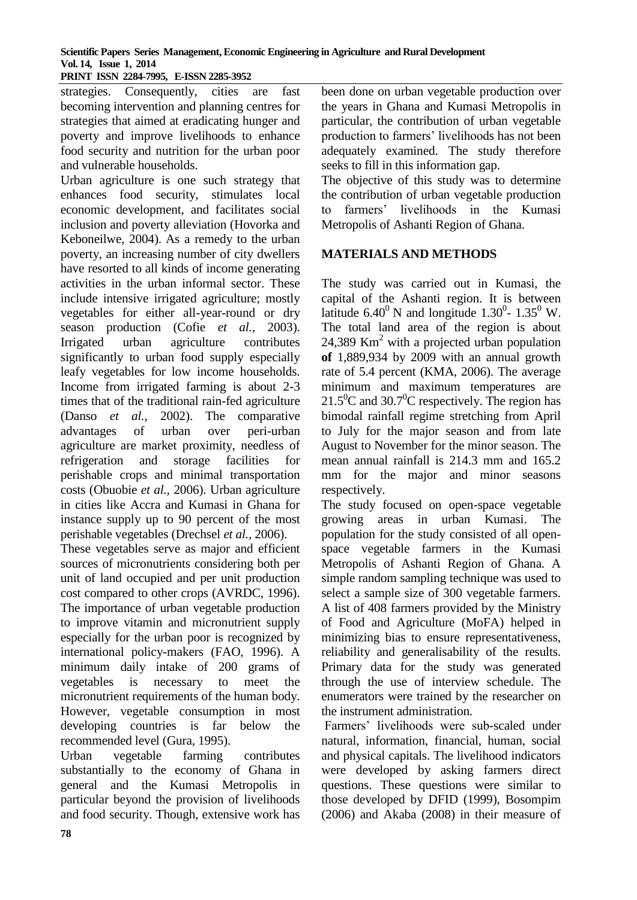## **Scientific Papers Series Management, Economic Engineering in Agriculture and Rural Development Vol. 14, Issue 1, 2014**

**PRINT ISSN 2284-7995, E-ISSN 2285-3952** 

strategies. Consequently, cities are fast becoming intervention and planning centres for strategies that aimed at eradicating hunger and poverty and improve livelihoods to enhance food security and nutrition for the urban poor and vulnerable households.

Urban agriculture is one such strategy that enhances food security, stimulates local economic development, and facilitates social inclusion and poverty alleviation (Hovorka and Keboneilwe, 2004). As a remedy to the urban poverty, an increasing number of city dwellers have resorted to all kinds of income generating activities in the urban informal sector. These include intensive irrigated agriculture; mostly vegetables for either all-year-round or dry season production (Cofie *et al.,* 2003). Irrigated urban agriculture contributes significantly to urban food supply especially leafy vegetables for low income households. Income from irrigated farming is about 2-3 times that of the traditional rain-fed agriculture (Danso *et al.,* 2002). The comparative advantages of urban over peri-urban agriculture are market proximity, needless of refrigeration and storage facilities for perishable crops and minimal transportation costs (Obuobie *et al.,* 2006). Urban agriculture in cities like Accra and Kumasi in Ghana for instance supply up to 90 percent of the most perishable vegetables (Drechsel *et al.,* 2006).

These vegetables serve as major and efficient sources of micronutrients considering both per unit of land occupied and per unit production cost compared to other crops (AVRDC, 1996). The importance of urban vegetable production to improve vitamin and micronutrient supply especially for the urban poor is recognized by international policy-makers (FAO, 1996). A minimum daily intake of 200 grams of vegetables is necessary to meet the micronutrient requirements of the human body. However, vegetable consumption in most developing countries is far below the recommended level (Gura, 1995).

Urban vegetable farming contributes substantially to the economy of Ghana in general and the Kumasi Metropolis in particular beyond the provision of livelihoods and food security. Though, extensive work has

been done on urban vegetable production over the years in Ghana and Kumasi Metropolis in particular, the contribution of urban vegetable production to farmers' livelihoods has not been adequately examined. The study therefore seeks to fill in this information gap.

The objective of this study was to determine the contribution of urban vegetable production to farmers' livelihoods in the Kumasi Metropolis of Ashanti Region of Ghana.

### **MATERIALS AND METHODS**

The study was carried out in Kumasi, the capital of the Ashanti region. It is between latitude  $6.40^{\circ}$  N and longitude 1.30<sup>0</sup>- 1.35<sup>0</sup> W. The total land area of the region is about 24,389 Km<sup>2</sup> with a projected urban population **of** 1,889,934 by 2009 with an annual growth rate of 5.4 percent (KMA, 2006). The average minimum and maximum temperatures are  $21.5^{\circ}$ C and  $30.7^{\circ}$ C respectively. The region has bimodal rainfall regime stretching from April to July for the major season and from late August to November for the minor season. The mean annual rainfall is 214.3 mm and 165.2 mm for the major and minor seasons respectively.

The study focused on open-space vegetable growing areas in urban Kumasi. The population for the study consisted of all openspace vegetable farmers in the Kumasi Metropolis of Ashanti Region of Ghana. A simple random sampling technique was used to select a sample size of 300 vegetable farmers. A list of 408 farmers provided by the Ministry of Food and Agriculture (MoFA) helped in minimizing bias to ensure representativeness, reliability and generalisability of the results. Primary data for the study was generated through the use of interview schedule. The enumerators were trained by the researcher on the instrument administration.

Farmers' livelihoods were sub-scaled under natural, information, financial, human, social and physical capitals. The livelihood indicators were developed by asking farmers direct questions. These questions were similar to those developed by DFID (1999), Bosompim (2006) and Akaba (2008) in their measure of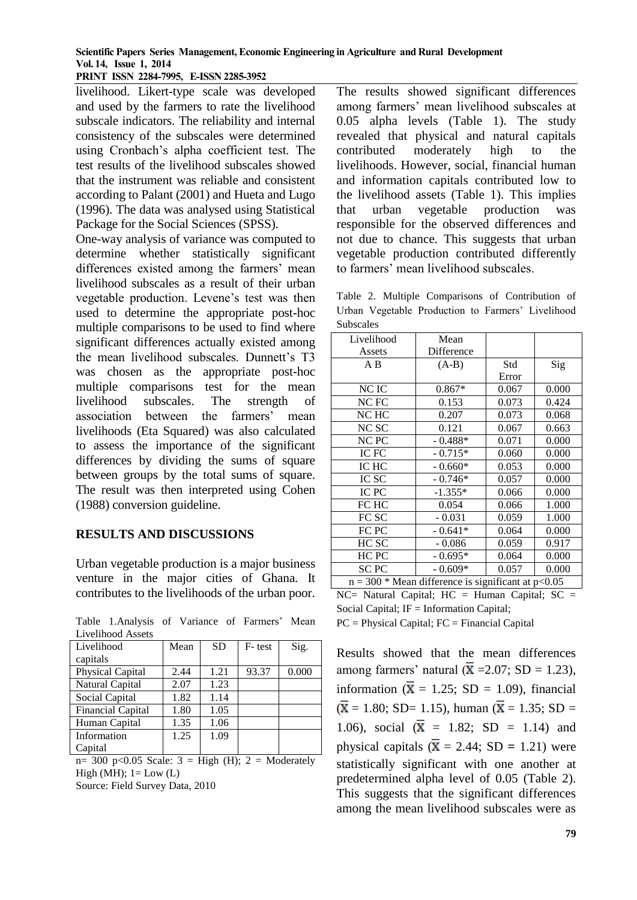### **Scientific Papers Series Management, Economic Engineering in Agriculture and Rural Development Vol. 14, Issue 1, 2014**

**PRINT ISSN 2284-7995, E-ISSN 2285-3952** 

livelihood. Likert-type scale was developed and used by the farmers to rate the livelihood subscale indicators. The reliability and internal consistency of the subscales were determined using Cronbach's alpha coefficient test. The test results of the livelihood subscales showed that the instrument was reliable and consistent according to Palant (2001) and Hueta and Lugo (1996). The data was analysed using Statistical Package for the Social Sciences (SPSS).

One-way analysis of variance was computed to determine whether statistically significant differences existed among the farmers' mean livelihood subscales as a result of their urban vegetable production. Levene's test was then used to determine the appropriate post-hoc multiple comparisons to be used to find where significant differences actually existed among the mean livelihood subscales. Dunnett's T3 was chosen as the appropriate post-hoc multiple comparisons test for the mean livelihood subscales. The strength of association between the farmers' mean livelihoods (Eta Squared) was also calculated to assess the importance of the significant differences by dividing the sums of square between groups by the total sums of square. The result was then interpreted using Cohen (1988) conversion guideline.

### **RESULTS AND DISCUSSIONS**

Urban vegetable production is a major business venture in the major cities of Ghana. It contributes to the livelihoods of the urban poor.

Table 1.Analysis of Variance of Farmers' Mean Livelihood Assets

| Livelihood               | Mean | <b>SD</b> | F-test | Sig.  |
|--------------------------|------|-----------|--------|-------|
| capitals                 |      |           |        |       |
| Physical Capital         | 2.44 | 1.21      | 93.37  | 0.000 |
| Natural Capital          | 2.07 | 1.23      |        |       |
| Social Capital           | 1.82 | 1.14      |        |       |
| <b>Financial Capital</b> | 1.80 | 1.05      |        |       |
| Human Capital            | 1.35 | 1.06      |        |       |
| Information              | 1.25 | 1.09      |        |       |
| Capital                  |      |           |        |       |

 $n=$  300 p<0.05 Scale: 3 = High (H); 2 = Moderately High (MH);  $1 = Low (L)$ Source: Field Survey Data, 2010

The results showed significant differences among farmers' mean livelihood subscales at 0.05 alpha levels (Table 1). The study revealed that physical and natural capitals contributed moderately high to the livelihoods. However, social, financial human and information capitals contributed low to the livelihood assets (Table 1). This implies that urban vegetable production was responsible for the observed differences and not due to chance. This suggests that urban vegetable production contributed differently to farmers' mean livelihood subscales.

Table 2. Multiple Comparisons of Contribution of Urban Vegetable Production to Farmers' Livelihood Subscales

| Livelihood                                               | Mean       |       |       |  |  |  |
|----------------------------------------------------------|------------|-------|-------|--|--|--|
| Assets                                                   | Difference |       |       |  |  |  |
| $A$ B                                                    | $(A-B)$    | Std   | Sig   |  |  |  |
|                                                          |            | Error |       |  |  |  |
| NC IC                                                    | $0.867*$   | 0.067 | 0.000 |  |  |  |
| NC FC                                                    | 0.153      | 0.073 | 0.424 |  |  |  |
| NC HC                                                    | 0.207      | 0.073 | 0.068 |  |  |  |
| NC SC                                                    | 0.121      | 0.067 | 0.663 |  |  |  |
| NC PC                                                    | $-0.488*$  | 0.071 | 0.000 |  |  |  |
| IC FC                                                    | $-0.715*$  | 0.060 | 0.000 |  |  |  |
| IC HC                                                    | $-0.660*$  | 0.053 | 0.000 |  |  |  |
| IC SC                                                    | $-0.746*$  | 0.057 | 0.000 |  |  |  |
| IC PC                                                    | $-1.355*$  | 0.066 | 0.000 |  |  |  |
| FC HC                                                    | 0.054      | 0.066 | 1.000 |  |  |  |
| FC SC                                                    | $-0.031$   | 0.059 | 1.000 |  |  |  |
| FC PC                                                    | $-0.641*$  | 0.064 | 0.000 |  |  |  |
| HC SC                                                    | $-0.086$   | 0.059 | 0.917 |  |  |  |
| HC PC                                                    | $-0.695*$  | 0.064 | 0.000 |  |  |  |
| <b>SC PC</b>                                             | $-0.609*$  | 0.057 | 0.000 |  |  |  |
| $n = 300$ * Mean difference is significant at $p < 0.05$ |            |       |       |  |  |  |
|                                                          |            |       |       |  |  |  |

 $NC=$  Natural Capital;  $HC =$  Human Capital;  $SC =$ Social Capital; IF = Information Capital;

PC = Physical Capital; FC = Financial Capital

Results showed that the mean differences among farmers' natural  $(\bar{X} = 2.07; SD = 1.23)$ , information  $(\bar{X} = 1.25; SD = 1.09)$ , financial  $(\bar{x} = 1.80; SD = 1.15)$ , human  $(\bar{x} = 1.35; SD =$ 1.06), social  $(\bar{X} = 1.82; SD = 1.14)$  and physical capitals  $(\bar{X} = 2.44; SD = 1.21)$  were statistically significant with one another at predetermined alpha level of 0.05 (Table 2). This suggests that the significant differences among the mean livelihood subscales were as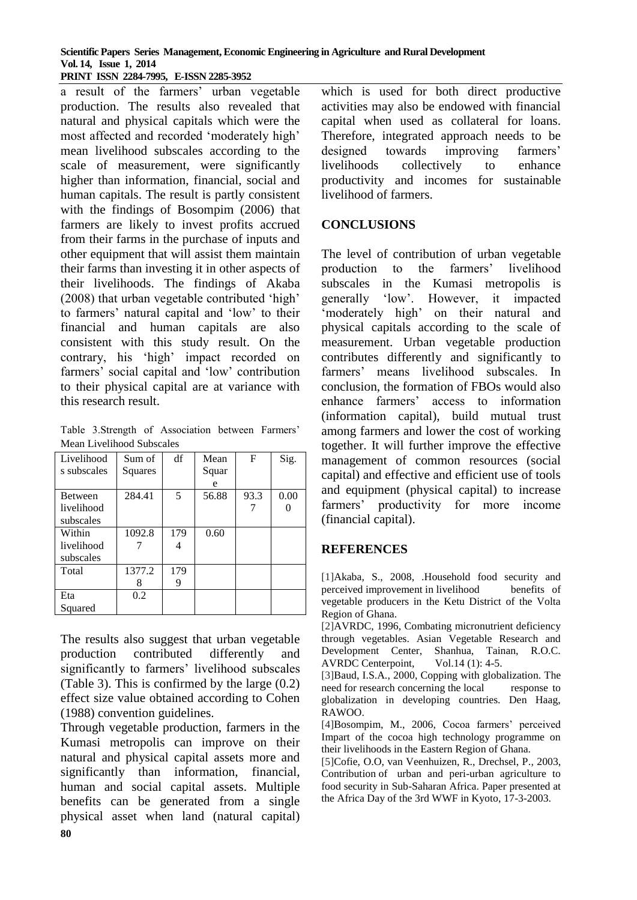#### **Scientific Papers Series Management, Economic Engineering in Agriculture and Rural Development Vol. 14, Issue 1, 2014 PRINT ISSN 2284-7995, E-ISSN 2285-3952**

a result of the farmers' urban vegetable production. The results also revealed that natural and physical capitals which were the most affected and recorded 'moderately high' mean livelihood subscales according to the scale of measurement, were significantly higher than information, financial, social and human capitals. The result is partly consistent with the findings of Bosompim (2006) that farmers are likely to invest profits accrued from their farms in the purchase of inputs and other equipment that will assist them maintain their farms than investing it in other aspects of their livelihoods. The findings of Akaba (2008) that urban vegetable contributed 'high' to farmers' natural capital and 'low' to their financial and human capitals are also consistent with this study result. On the contrary, his 'high' impact recorded on farmers' social capital and 'low' contribution to their physical capital are at variance with this research result.

Table 3.Strength of Association between Farmers' Mean Livelihood Subscales

| Livelihood     | Sum of  | df  | Mean  | F    | Sig. |
|----------------|---------|-----|-------|------|------|
| s subscales    | Squares |     | Squar |      |      |
|                |         |     | e     |      |      |
| <b>Between</b> | 284.41  | 5   | 56.88 | 93.3 | 0.00 |
| livelihood     |         |     |       |      |      |
| subscales      |         |     |       |      |      |
| Within         | 1092.8  | 179 | 0.60  |      |      |
| livelihood     |         |     |       |      |      |
| subscales      |         |     |       |      |      |
| Total          | 1377.2  | 179 |       |      |      |
|                | 8       | 9   |       |      |      |
| Eta            | 0.2     |     |       |      |      |
| Squared        |         |     |       |      |      |

The results also suggest that urban vegetable production contributed differently and significantly to farmers' livelihood subscales (Table 3). This is confirmed by the large (0.2) effect size value obtained according to Cohen (1988) convention guidelines.

Through vegetable production, farmers in the Kumasi metropolis can improve on their natural and physical capital assets more and significantly than information, financial, human and social capital assets. Multiple benefits can be generated from a single physical asset when land (natural capital)

which is used for both direct productive activities may also be endowed with financial capital when used as collateral for loans. Therefore, integrated approach needs to be designed towards improving farmers' livelihoods collectively to enhance productivity and incomes for sustainable livelihood of farmers.

## **CONCLUSIONS**

The level of contribution of urban vegetable production to the farmers' livelihood subscales in the Kumasi metropolis is generally 'low'. However, it impacted 'moderately high' on their natural and physical capitals according to the scale of measurement. Urban vegetable production contributes differently and significantly to farmers' means livelihood subscales. In conclusion, the formation of FBOs would also enhance farmers' access to information (information capital), build mutual trust among farmers and lower the cost of working together. It will further improve the effective management of common resources (social capital) and effective and efficient use of tools and equipment (physical capital) to increase farmers' productivity for more income (financial capital).

## **REFERENCES**

[1]Akaba, S., 2008, .Household food security and perceived improvement in livelihood benefits of vegetable producers in the Ketu District of the Volta Region of Ghana.

[2]AVRDC, 1996, Combating micronutrient deficiency through vegetables. Asian Vegetable Research and Development Center, Shanhua, Tainan, R.O.C. AVRDC Centerpoint, Vol.14 (1): 4-5.

[3]Baud, I.S.A., 2000, Copping with globalization. The need for research concerning the local response to globalization in developing countries. Den Haag, RAWOO.

[4]Bosompim, M., 2006, Cocoa farmers' perceived Impart of the cocoa high technology programme on their livelihoods in the Eastern Region of Ghana.

[5]Cofie, O.O, van Veenhuizen, R., Drechsel, P., 2003, Contribution of urban and peri-urban agriculture to food security in Sub-Saharan Africa. Paper presented at the Africa Day of the 3rd WWF in Kyoto, 17-3-2003.